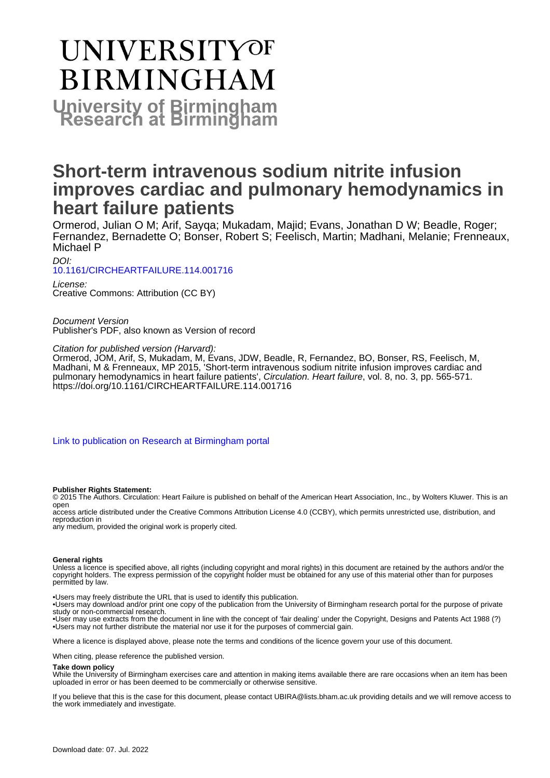# **UNIVERSITYOF BIRMINGHAM University of Birmingham**

## **Short-term intravenous sodium nitrite infusion improves cardiac and pulmonary hemodynamics in heart failure patients**

Ormerod, Julian O M; Arif, Sayqa; Mukadam, Majid; Evans, Jonathan D W; Beadle, Roger; Fernandez, Bernadette O; Bonser, Robert S; Feelisch, Martin; Madhani, Melanie; Frenneaux, Michael P

#### [10.1161/CIRCHEARTFAILURE.114.001716](https://doi.org/10.1161/CIRCHEARTFAILURE.114.001716)

License: Creative Commons: Attribution (CC BY)

Document Version Publisher's PDF, also known as Version of record

Citation for published version (Harvard):

Ormerod, JOM, Arif, S, Mukadam, M, Evans, JDW, Beadle, R, Fernandez, BO, Bonser, RS, Feelisch, M, Madhani, M & Frenneaux, MP 2015, 'Short-term intravenous sodium nitrite infusion improves cardiac and pulmonary hemodynamics in heart failure patients', Circulation. Heart failure, vol. 8, no. 3, pp. 565-571. <https://doi.org/10.1161/CIRCHEARTFAILURE.114.001716>

[Link to publication on Research at Birmingham portal](https://birmingham.elsevierpure.com/en/publications/1b7015cb-36c1-4415-9590-6bab8e609ef6)

#### **Publisher Rights Statement:**

© 2015 The Authors. Circulation: Heart Failure is published on behalf of the American Heart Association, Inc., by Wolters Kluwer. This is an open

access article distributed under the Creative Commons Attribution License 4.0 (CCBY), which permits unrestricted use, distribution, and reproduction in

any medium, provided the original work is properly cited.

#### **General rights**

 $D$ 

Unless a licence is specified above, all rights (including copyright and moral rights) in this document are retained by the authors and/or the copyright holders. The express permission of the copyright holder must be obtained for any use of this material other than for purposes permitted by law.

• Users may freely distribute the URL that is used to identify this publication.

• Users may download and/or print one copy of the publication from the University of Birmingham research portal for the purpose of private study or non-commercial research.

• User may use extracts from the document in line with the concept of 'fair dealing' under the Copyright, Designs and Patents Act 1988 (?) • Users may not further distribute the material nor use it for the purposes of commercial gain.

Where a licence is displayed above, please note the terms and conditions of the licence govern your use of this document.

When citing, please reference the published version.

#### **Take down policy**

While the University of Birmingham exercises care and attention in making items available there are rare occasions when an item has been uploaded in error or has been deemed to be commercially or otherwise sensitive.

If you believe that this is the case for this document, please contact UBIRA@lists.bham.ac.uk providing details and we will remove access to the work immediately and investigate.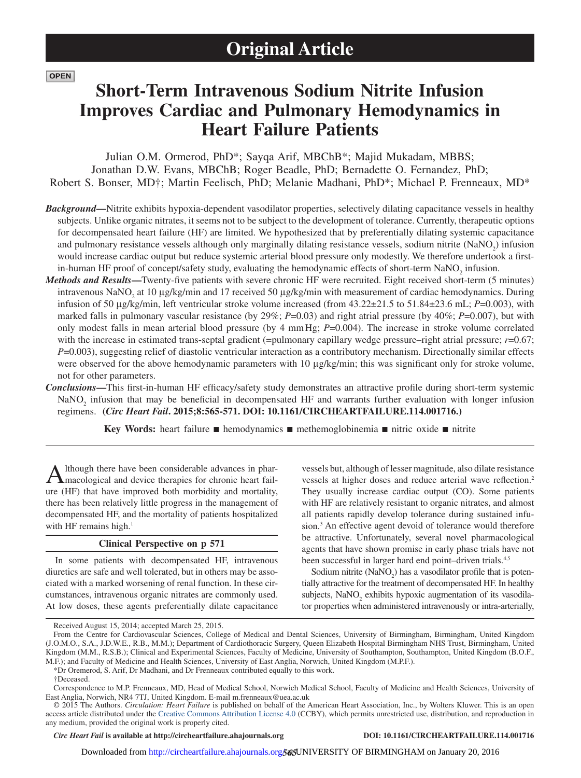**OPEN** 

## **Short-Term Intravenous Sodium Nitrite Infusion Improves Cardiac and Pulmonary Hemodynamics in Heart Failure Patients**

Julian O.M. Ormerod, PhD\*; Sayqa Arif, MBChB\*; Majid Mukadam, MBBS; Jonathan D.W. Evans, MBChB; Roger Beadle, PhD; Bernadette O. Fernandez, PhD; Robert S. Bonser, MD†; Martin Feelisch, PhD; Melanie Madhani, PhD\*; Michael P. Frenneaux, MD\*

- *Background***—**Nitrite exhibits hypoxia-dependent vasodilator properties, selectively dilating capacitance vessels in healthy subjects. Unlike organic nitrates, it seems not to be subject to the development of tolerance. Currently, therapeutic options for decompensated heart failure (HF) are limited. We hypothesized that by preferentially dilating systemic capacitance and pulmonary resistance vessels although only marginally dilating resistance vessels, sodium nitrite  $(NaNO<sub>2</sub>)$  infusion would increase cardiac output but reduce systemic arterial blood pressure only modestly. We therefore undertook a firstin-human HF proof of concept/safety study, evaluating the hemodynamic effects of short-term NaNO<sub>2</sub> infusion.
- *Methods and Results***—**Twenty-five patients with severe chronic HF were recruited. Eight received short-term (5 minutes) intravenous NaNO<sub>2</sub> at 10 µg/kg/min and 17 received 50 µg/kg/min with measurement of cardiac hemodynamics. During infusion of 50 μg/kg/min, left ventricular stroke volume increased (from 43.22±21.5 to 51.84±23.6 mL; *P*=0.003), with marked falls in pulmonary vascular resistance (by 29%; *P*=0.03) and right atrial pressure (by 40%; *P*=0.007), but with only modest falls in mean arterial blood pressure (by 4 mmHg; *P*=0.004). The increase in stroke volume correlated with the increase in estimated trans-septal gradient (=pulmonary capillary wedge pressure–right atrial pressure; *r*=0.67; *P*=0.003), suggesting relief of diastolic ventricular interaction as a contributory mechanism. Directionally similar effects were observed for the above hemodynamic parameters with 10 μg/kg/min; this was significant only for stroke volume, not for other parameters.
- *Conclusions***—**This first-in-human HF efficacy/safety study demonstrates an attractive profile during short-term systemic NaNO<sub>2</sub> infusion that may be beneficial in decompensated HF and warrants further evaluation with longer infusion regimens. **(***Circ Heart Fail***. 2015;8:565-571. DOI: 10.1161/CIRCHEARTFAILURE.114.001716.)**

**Key Words:** heart failure ■ hemodynamics ■ methemoglobinemia ■ nitric oxide ■ nitrite

Although there have been considerable advances in phar-<br> **A** macological and device therapies for chronic heart failure (HF) that have improved both morbidity and mortality, there has been relatively little progress in the management of decompensated HF, and the mortality of patients hospitalized with HF remains high. $1$ 

#### **[Clinical Perspective on p 571](#page-7-0)**

In some patients with decompensated HF, intravenous diuretics are safe and well tolerated, but in others may be associated with a marked worsening of renal function. In these circumstances, intravenous organic nitrates are commonly used. At low doses, these agents preferentially dilate capacitance vessels but, although of lesser magnitude, also dilate resistance vessels at higher doses and reduce arterial wave reflection.2 They usually increase cardiac output (CO). Some patients with HF are relatively resistant to organic nitrates, and almost all patients rapidly develop tolerance during sustained infusion.<sup>3</sup> An effective agent devoid of tolerance would therefore be attractive. Unfortunately, several novel pharmacological agents that have shown promise in early phase trials have not been successful in larger hard end point–driven trials.<sup>4,5</sup>

Sodium nitrite  $(NaNO<sub>2</sub>)$  has a vasodilator profile that is potentially attractive for the treatment of decompensated HF. In healthy subjects,  $\text{NaNO}_2$  exhibits hypoxic augmentation of its vasodilator properties when administered intravenously or intra-arterially,

*Circ Heart Fail* **is available at http://circheartfailure.ahajournals.org DOI: 10.1161/CIRCHEARTFAILURE.114.001716**

Downloaded from http://circheartfailure.ahajournals.org**/66**JUNIVERSITY OF BIRMINGHAM on January 20, 2016

Received August 15, 2014; accepted March 25, 2015.

From the Centre for Cardiovascular Sciences, College of Medical and Dental Sciences, University of Birmingham, Birmingham, United Kingdom (J.O.M.O., S.A., J.D.W.E., R.B., M.M.); Department of Cardiothoracic Surgery, Queen Elizabeth Hospital Birmingham NHS Trust, Birmingham, United Kingdom (M.M., R.S.B.); Clinical and Experimental Sciences, Faculty of Medicine, University of Southampton, Southampton, United Kingdom (B.O.F., M.F.); and Faculty of Medicine and Health Sciences, University of East Anglia, Norwich, United Kingdom (M.P.F.).

<sup>\*</sup>Dr Oremerod, S. Arif, Dr Madhani, and Dr Frenneaux contributed equally to this work.

<sup>†</sup>Deceased.

Correspondence to M.P. Frenneaux, MD, Head of Medical School, Norwich Medical School, Faculty of Medicine and Health Sciences, University of East Anglia, Norwich, NR4 7TJ, United Kingdom. E-mail [m.frenneaux@uea.ac.uk](mailto:m.frenneaux@uea.ac.uk)

<sup>© 2015</sup> The Authors. *Circulation: Heart Failure* is published on behalf of the American Heart Association, Inc., by Wolters Kluwer. This is an open access article distributed under the [Creative Commons Attribution License 4.0](http://creativecommons.org/licenses/by/4.0/) (CCBY), which permits unrestricted use, distribution, and reproduction in any medium, provided the original work is properly cited.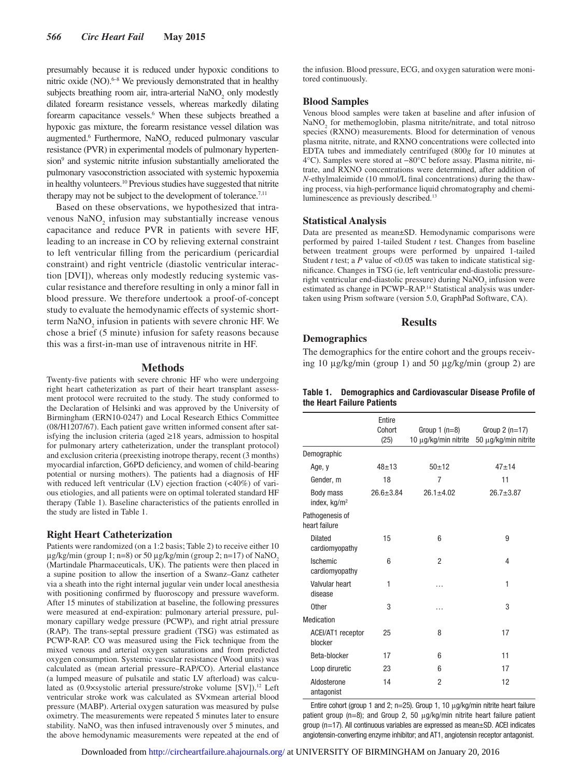presumably because it is reduced under hypoxic conditions to nitric oxide (NO).6–8 We previously demonstrated that in healthy subjects breathing room air, intra-arterial  $\text{NaNO}_2$  only modestly dilated forearm resistance vessels, whereas markedly dilating forearm capacitance vessels.<sup>6</sup> When these subjects breathed a hypoxic gas mixture, the forearm resistance vessel dilation was augmented.<sup>6</sup> Furthermore,  $\text{NaNO}_2$  reduced pulmonary vascular resistance (PVR) in experimental models of pulmonary hypertension<sup>9</sup> and systemic nitrite infusion substantially ameliorated the pulmonary vasoconstriction associated with systemic hypoxemia in healthy volunteers.<sup>10</sup> Previous studies have suggested that nitrite therapy may not be subject to the development of tolerance.<sup>7,11</sup>

Based on these observations, we hypothesized that intravenous  $\text{NaNO}_2$  infusion may substantially increase venous capacitance and reduce PVR in patients with severe HF, leading to an increase in CO by relieving external constraint to left ventricular filling from the pericardium (pericardial constraint) and right ventricle (diastolic ventricular interaction [DVI]), whereas only modestly reducing systemic vascular resistance and therefore resulting in only a minor fall in blood pressure. We therefore undertook a proof-of-concept study to evaluate the hemodynamic effects of systemic shortterm  $\text{NaNO}_2$  infusion in patients with severe chronic HF. We chose a brief (5 minute) infusion for safety reasons because this was a first-in-man use of intravenous nitrite in HF.

#### **Methods**

Twenty-five patients with severe chronic HF who were undergoing right heart catheterization as part of their heart transplant assessment protocol were recruited to the study. The study conformed to the Declaration of Helsinki and was approved by the University of Birmingham (ERN10-0247) and Local Research Ethics Committee (08/H1207/67). Each patient gave written informed consent after satisfying the inclusion criteria (aged ≥18 years, admission to hospital for pulmonary artery catheterization, under the transplant protocol) and exclusion criteria (preexisting inotrope therapy, recent (3 months) myocardial infarction, G6PD deficiency, and women of child-bearing potential or nursing mothers). The patients had a diagnosis of HF with reduced left ventricular (LV) ejection fraction (<40%) of various etiologies, and all patients were on optimal tolerated standard HF therapy (Table 1). Baseline characteristics of the patients enrolled in the study are listed in Table 1.

#### **Right Heart Catheterization**

Patients were randomized (on a 1:2 basis; Table 2) to receive either 10 μg/kg/min (group 1; n=8) or 50 μg/kg/min (group 2; n=17) of NaNO<sub>2</sub> (Martindale Pharmaceuticals, UK). The patients were then placed in a supine position to allow the insertion of a Swanz–Ganz catheter via a sheath into the right internal jugular vein under local anesthesia with positioning confirmed by fluoroscopy and pressure waveform. After 15 minutes of stabilization at baseline, the following pressures were measured at end-expiration: pulmonary arterial pressure, pulmonary capillary wedge pressure (PCWP), and right atrial pressure (RAP). The trans-septal pressure gradient (TSG) was estimated as PCWP-RAP. CO was measured using the Fick technique from the mixed venous and arterial oxygen saturations and from predicted oxygen consumption. Systemic vascular resistance (Wood units) was calculated as (mean arterial pressure–RAP/CO). Arterial elastance (a lumped measure of pulsatile and static LV afterload) was calculated as (0.9×systolic arterial pressure/stroke volume [SV]).<sup>12</sup> Left ventricular stroke work was calculated as SV×mean arterial blood pressure (MABP). Arterial oxygen saturation was measured by pulse oximetry. The measurements were repeated 5 minutes later to ensure stability.  $\text{NaNO}_2$  was then infused intravenously over 5 minutes, and the above hemodynamic measurements were repeated at the end of

the infusion. Blood pressure, ECG, and oxygen saturation were monitored continuously.

#### **Blood Samples**

Venous blood samples were taken at baseline and after infusion of NaNO<sub>2</sub> for methemoglobin, plasma nitrite/nitrate, and total nitroso species (RXNO) measurements. Blood for determination of venous plasma nitrite, nitrate, and RXNO concentrations were collected into EDTA tubes and immediately centrifuged (800*g* for 10 minutes at 4°C). Samples were stored at −80°C before assay. Plasma nitrite, nitrate, and RXNO concentrations were determined, after addition of *N*-ethylmaleimide (10 mmol/L final concentrations) during the thawing process, via high-performance liquid chromatography and chemiluminescence as previously described.13

#### **Statistical Analysis**

Data are presented as mean±SD. Hemodynamic comparisons were performed by paired 1-tailed Student *t* test. Changes from baseline between treatment groups were performed by unpaired 1-tailed Student *t* test; a *P* value of <0.05 was taken to indicate statistical significance. Changes in TSG (ie, left ventricular end-diastolic pressureright ventricular end-diastolic pressure) during  $\text{NaNO}_2$  infusion were estimated as change in PCWP–RAP.14 Statistical analysis was undertaken using Prism software (version 5.0, GraphPad Software, CA).

#### **Results**

#### **Demographics**

The demographics for the entire cohort and the groups receiving 10 μg/kg/min (group 1) and 50 μg/kg/min (group 2) are

|                            | Table 1. Demographics and Cardiovascular Disease Profile of |  |
|----------------------------|-------------------------------------------------------------|--|
| the Heart Failure Patients |                                                             |  |

|                                       | Entire<br>Cohort<br>(25) | Group $1(n=8)$<br>10 μg/kg/min nitrite | Group $2(n=17)$<br>50 μg/kg/min nitrite |
|---------------------------------------|--------------------------|----------------------------------------|-----------------------------------------|
| Demographic                           |                          |                                        |                                         |
| Age, y                                | $48 + 13$                | $50+12$                                | $47 + 14$                               |
| Gender, m                             | 18                       | 7                                      | 11                                      |
| Body mass<br>index, kg/m <sup>2</sup> | $26.6 \pm 3.84$          | $26.1 + 4.02$                          | $26.7 \pm 3.87$                         |
| Pathogenesis of<br>heart failure      |                          |                                        |                                         |
| <b>Dilated</b><br>cardiomyopathy      | 15                       | 6                                      | 9                                       |
| <b>Ischemic</b><br>cardiomyopathy     | 6                        | $\overline{2}$                         | 4                                       |
| Valvular heart<br>disease             | 1                        | .                                      | 1                                       |
| <b>Other</b>                          | 3                        | .                                      | 3                                       |
| Medication                            |                          |                                        |                                         |
| ACEI/AT1 receptor<br>blocker          | 25                       | 8                                      | 17                                      |
| Beta-blocker                          | 17                       | 6                                      | 11                                      |
| Loop diruretic                        | 23                       | 6                                      | 17                                      |
| Aldosterone<br>antagonist             | 14                       | $\overline{2}$                         | 12                                      |

Entire cohort (group 1 and 2; n=25). Group 1, 10  $\mu$ g/kg/min nitrite heart failure patient group (n=8); and Group 2, 50 μg/kg/min nitrite heart failure patient group (n=17). All continuous variables are expressed as mean±SD. ACEI indicates angiotensin-converting enzyme inhibitor; and AT1, angiotensin receptor antagonist.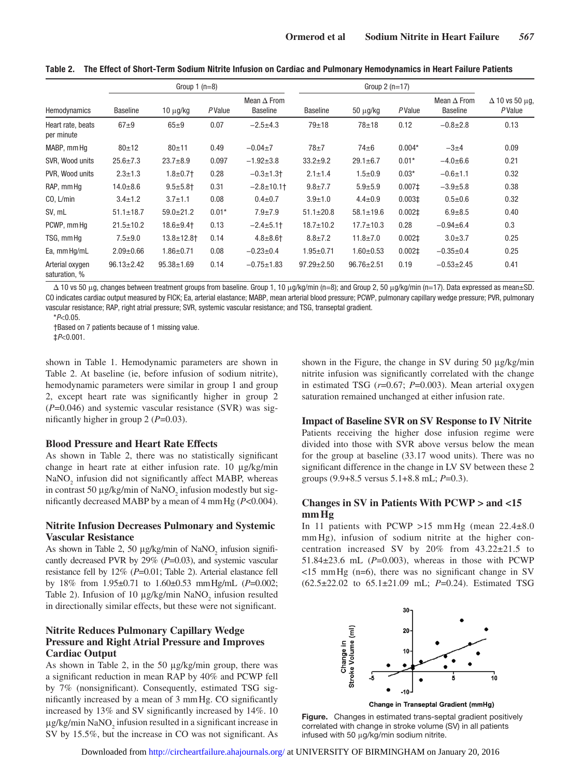| Hemodynamics                     | Group $1(n=8)$   |                  |         |                                       | Group $2(n=17)$  |                  |                    |                                       |                                 |
|----------------------------------|------------------|------------------|---------|---------------------------------------|------------------|------------------|--------------------|---------------------------------------|---------------------------------|
|                                  | <b>Baseline</b>  | $10 \mu g/kg$    | PValue  | Mean $\Delta$ From<br><b>Baseline</b> | <b>Baseline</b>  | $50 \mu g/kg$    | PValue             | Mean $\Delta$ From<br><b>Baseline</b> | $\Delta$ 10 vs 50 µg,<br>PValue |
| Heart rate, beats<br>per minute  | $67\pm9$         | $65\pm9$         | 0.07    | $-2.5+4.3$                            | $79 + 18$        | $78 + 18$        | 0.12               | $-0.8+2.8$                            | 0.13                            |
| MABP, mm Hq                      | $80 + 12$        | $80 + 11$        | 0.49    | $-0.04+7$                             | $78 \pm 7$       | $74\pm 6$        | $0.004*$           | $-3\pm 4$                             | 0.09                            |
| SVR. Wood units                  | $25.6 \pm 7.3$   | $23.7 + 8.9$     | 0.097   | $-1.92 \pm 3.8$                       | $33.2 + 9.2$     | $29.1 \pm 6.7$   | $0.01*$            | $-4.0 + 6.6$                          | 0.21                            |
| PVR. Wood units                  | $2.3 \pm 1.3$    | $1.8 + 0.7 +$    | 0.28    | $-0.3 \pm 1.3$                        | $2.1 \pm 1.4$    | $1.5 \pm 0.9$    | $0.03*$            | $-0.6 + 1.1$                          | 0.32                            |
| RAP, mm Hq                       | $14.0 \pm 8.6$   | $9.5 + 5.8 +$    | 0.31    | $-2.8 \pm 10.1$                       | $9.8 + 7.7$      | $5.9 + 5.9$      | $0.007\pm$         | $-3.9+5.8$                            | 0.38                            |
| CO, L/min                        | $3.4 \pm 1.2$    | $3.7 \pm 1.1$    | 0.08    | $0.4 + 0.7$                           | $3.9 + 1.0$      | $4.4 \pm 0.9$    | 0.003 <sup>‡</sup> | $0.5 + 0.6$                           | 0.32                            |
| SV, mL                           | $51.1 \pm 18.7$  | $59.0 \pm 21.2$  | $0.01*$ | $7.9 \pm 7.9$                         | $51.1 \pm 20.8$  | $58.1 \pm 19.6$  | $0.002\pm$         | $6.9 + 8.5$                           | 0.40                            |
| PCWP, mm Hq                      | $21.5 \pm 10.2$  | $18.6 + 9.4$     | 0.13    | $-2.4 \pm 5.1$                        | $18.7 \pm 10.2$  | $17.7 \pm 10.3$  | 0.28               | $-0.94\pm 6.4$                        | 0.3                             |
| TSG, mm Hq                       | $7.5 + 9.0$      | $13.8 \pm 12.8$  | 0.14    | $4.8 + 8.6$                           | $8.8 \pm 7.2$    | $11.8 \pm 7.0$   | $0.002\pm$         | $3.0 \pm 3.7$                         | 0.25                            |
| Ea, mm Hg/mL                     | $2.09 \pm 0.66$  | $1.86 \pm 0.71$  | 0.08    | $-0.23 \pm 0.4$                       | $1.95 \pm 0.71$  | $1.60 \pm 0.53$  | $0.002\pm$         | $-0.35+0.4$                           | 0.25                            |
| Arterial oxygen<br>saturation, % | $96.13 \pm 2.42$ | $95.38 \pm 1.69$ | 0.14    | $-0.75 \pm 1.83$                      | $97.29 \pm 2.50$ | $96.76 \pm 2.51$ | 0.19               | $-0.53 \pm 2.45$                      | 0.41                            |

**Table 2. The Effect of Short-Term Sodium Nitrite Infusion on Cardiac and Pulmonary Hemodynamics in Heart Failure Patients**

 $\Delta$  10 vs 50 μg, changes between treatment groups from baseline. Group 1, 10 μg/kg/min (n=8); and Group 2, 50 μg/kg/min (n=17). Data expressed as mean±SD. CO indicates cardiac output measured by FICK; Ea, arterial elastance; MABP, mean arterial blood pressure; PCWP, pulmonary capillary wedge pressure; PVR, pulmonary vascular resistance; RAP, right atrial pressure; SVR, systemic vascular resistance; and TSG, transeptal gradient.

 $*P<0.05$ .

†Based on 7 patients because of 1 missing value.

‡P<0.001.

shown in Table 1. Hemodynamic parameters are shown in Table 2. At baseline (ie, before infusion of sodium nitrite), hemodynamic parameters were similar in group 1 and group 2, except heart rate was significantly higher in group 2 (*P*=0.046) and systemic vascular resistance (SVR) was significantly higher in group 2 (*P*=0.03).

#### **Blood Pressure and Heart Rate Effects**

As shown in Table 2, there was no statistically significant change in heart rate at either infusion rate. 10 μg/kg/min  $\text{NaNO}_2$  infusion did not significantly affect MABP, whereas in contrast 50  $\mu$ g/kg/min of NaNO<sub>2</sub> infusion modestly but significantly decreased MABP by a mean of 4 mmHg (*P*<0.004).

#### **Nitrite Infusion Decreases Pulmonary and Systemic Vascular Resistance**

As shown in Table 2, 50  $\mu$ g/kg/min of NaNO<sub>2</sub> infusion significantly decreased PVR by 29% (P=0.03), and systemic vascular resistance fell by 12% (*P*=0.01; Table 2). Arterial elastance fell by 18% from 1.95±0.71 to 1.60±0.53 mmHg/mL (*P*=0.002; Table 2). Infusion of 10  $\mu$ g/kg/min NaNO<sub>2</sub> infusion resulted in directionally similar effects, but these were not significant.

#### **Nitrite Reduces Pulmonary Capillary Wedge Pressure and Right Atrial Pressure and Improves Cardiac Output**

As shown in Table 2, in the 50 μg/kg/min group, there was a significant reduction in mean RAP by 40% and PCWP fell by 7% (nonsignificant). Consequently, estimated TSG significantly increased by a mean of 3 mmHg. CO significantly increased by 13% and SV significantly increased by 14%. 10  $\mu$ g/kg/min NaNO<sub>2</sub> infusion resulted in a significant increase in SV by 15.5%, but the increase in CO was not significant. As

shown in the Figure, the change in SV during 50 μg/kg/min nitrite infusion was significantly correlated with the change in estimated TSG (*r*=0.67; *P*=0.003). Mean arterial oxygen saturation remained unchanged at either infusion rate.

#### **Impact of Baseline SVR on SV Response to IV Nitrite**

Patients receiving the higher dose infusion regime were divided into those with SVR above versus below the mean for the group at baseline (33.17 wood units). There was no significant difference in the change in LV SV between these 2 groups (9.9+8.5 versus 5.1+8.8 mL; *P*=0.3).

#### **Changes in SV in Patients With PCWP > and <15 mmHg**

In 11 patients with PCWP  $>15$  mm Hg (mean 22.4 $\pm$ 8.0 mm Hg), infusion of sodium nitrite at the higher concentration increased SV by 20% from 43.22±21.5 to 51.84 $\pm$ 23.6 mL ( $P$ =0.003), whereas in those with PCWP <15 mmHg (n=6), there was no significant change in SV (62.5±22.02 to 65.1±21.09 mL; *P*=0.24). Estimated TSG



**Figure.** Changes in estimated trans-septal gradient positively correlated with change in stroke volume (SV) in all patients infused with 50 μg/kg/min sodium nitrite.

Downloaded from<http://circheartfailure.ahajournals.org/>at UNIVERSITY OF BIRMINGHAM on January 20, 2016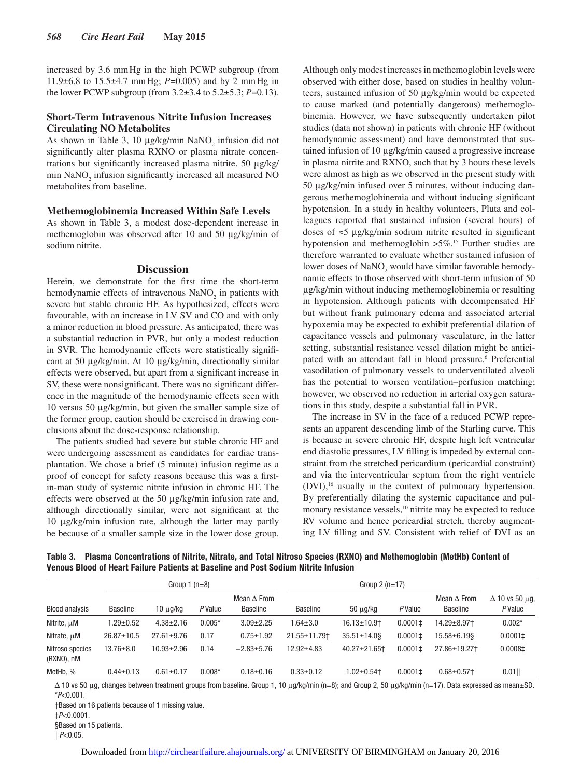increased by 3.6 mmHg in the high PCWP subgroup (from 11.9±6.8 to 15.5±4.7 mmHg; *P*=0.005) and by 2 mmHg in the lower PCWP subgroup (from 3.2±3.4 to 5.2±5.3; *P*=0.13).

#### **Short-Term Intravenous Nitrite Infusion Increases Circulating NO Metabolites**

As shown in Table 3, 10  $\mu$ g/kg/min NaNO<sub>2</sub> infusion did not significantly alter plasma RXNO or plasma nitrate concentrations but significantly increased plasma nitrite. 50 μg/kg/ min NaNO<sub>2</sub> infusion significantly increased all measured NO metabolites from baseline.

#### **Methemoglobinemia Increased Within Safe Levels**

As shown in Table 3, a modest dose-dependent increase in methemoglobin was observed after 10 and 50 μg/kg/min of sodium nitrite.

#### **Discussion**

Herein, we demonstrate for the first time the short-term hemodynamic effects of intravenous  $\text{NaNO}_2$  in patients with severe but stable chronic HF. As hypothesized, effects were favourable, with an increase in LV SV and CO and with only a minor reduction in blood pressure. As anticipated, there was a substantial reduction in PVR, but only a modest reduction in SVR. The hemodynamic effects were statistically significant at 50 μg/kg/min. At 10 μg/kg/min, directionally similar effects were observed, but apart from a significant increase in SV, these were nonsignificant. There was no significant difference in the magnitude of the hemodynamic effects seen with 10 versus 50 μg/kg/min, but given the smaller sample size of the former group, caution should be exercised in drawing conclusions about the dose-response relationship.

The patients studied had severe but stable chronic HF and were undergoing assessment as candidates for cardiac transplantation. We chose a brief (5 minute) infusion regime as a proof of concept for safety reasons because this was a firstin-man study of systemic nitrite infusion in chronic HF. The effects were observed at the 50 μg/kg/min infusion rate and, although directionally similar, were not significant at the 10 μg/kg/min infusion rate, although the latter may partly be because of a smaller sample size in the lower dose group.

Although only modest increases in methemoglobin levels were observed with either dose, based on studies in healthy volunteers, sustained infusion of 50 μg/kg/min would be expected to cause marked (and potentially dangerous) methemoglobinemia. However, we have subsequently undertaken pilot studies (data not shown) in patients with chronic HF (without hemodynamic assessment) and have demonstrated that sustained infusion of 10 μg/kg/min caused a progressive increase in plasma nitrite and RXNO, such that by 3 hours these levels were almost as high as we observed in the present study with 50 μg/kg/min infused over 5 minutes, without inducing dangerous methemoglobinemia and without inducing significant hypotension. In a study in healthy volunteers, Pluta and colleagues reported that sustained infusion (several hours) of doses of ≈5 μg/kg/min sodium nitrite resulted in significant hypotension and methemoglobin >5%.15 Further studies are therefore warranted to evaluate whether sustained infusion of lower doses of NaNO<sub>2</sub> would have similar favorable hemodynamic effects to those observed with short-term infusion of 50 μg/kg/min without inducing methemoglobinemia or resulting in hypotension. Although patients with decompensated HF but without frank pulmonary edema and associated arterial hypoxemia may be expected to exhibit preferential dilation of capacitance vessels and pulmonary vasculature, in the latter setting, substantial resistance vessel dilation might be anticipated with an attendant fall in blood pressure.<sup>6</sup> Preferential vasodilation of pulmonary vessels to underventilated alveoli has the potential to worsen ventilation–perfusion matching; however, we observed no reduction in arterial oxygen saturations in this study, despite a substantial fall in PVR.

The increase in SV in the face of a reduced PCWP represents an apparent descending limb of the Starling curve. This is because in severe chronic HF, despite high left ventricular end diastolic pressures, LV filling is impeded by external constraint from the stretched pericardium (pericardial constraint) and via the interventricular septum from the right ventricle (DVI),<sup>16</sup> usually in the context of pulmonary hypertension. By preferentially dilating the systemic capacitance and pulmonary resistance vessels,<sup>10</sup> nitrite may be expected to reduce RV volume and hence pericardial stretch, thereby augmenting LV filling and SV. Consistent with relief of DVI as an

**Table 3. Plasma Concentrations of Nitrite, Nitrate, and Total Nitroso Species (RXNO) and Methemoglobin (MetHb) Content of Venous Blood of Heart Failure Patients at Baseline and Post Sodium Nitrite Infusion**

|                               |                  | Group $1(n=8)$   |          |                                       | Group $2(n=17)$   |                    |              |                                |                                      |
|-------------------------------|------------------|------------------|----------|---------------------------------------|-------------------|--------------------|--------------|--------------------------------|--------------------------------------|
| <b>Blood analysis</b>         | <b>Baseline</b>  | $10 \mu g/kg$    | PValue   | Mean $\Delta$ From<br><b>Baseline</b> | <b>Baseline</b>   | $50 \mu g/kg$      | PValue       | Mean $\Delta$ From<br>Baseline | $\Delta$ 10 vs 50 $\mu$ g,<br>PValue |
| Nitrite, µM                   | $1.29 \pm 0.52$  | $4.38 \pm 2.16$  | $0.005*$ | $3.09 \pm 2.25$                       | $1.64 \pm 3.0$    | $16.13 \pm 10.9$   | $0.0001 \pm$ | $14.29 + 8.97 +$               | $0.002*$                             |
| Nitrate, µM                   | $26.87 \pm 10.5$ | $27.61 \pm 9.76$ | 0.17     | $0.75 \pm 1.92$                       | $21.55 \pm 11.79$ | $35.51 \pm 14.0$ § | $0.0001 \pm$ | $15.58 + 6.19$                 | $0.0001 \pm$                         |
| Nitroso species<br>(RXNO), nM | $13.76 \pm 8.0$  | $10.93 + 2.96$   | 0.14     | $-2.83 \pm 5.76$                      | $12.92 + 4.83$    | $40.27 \pm 21.65$  | $0.0001 \pm$ | 27.86±19.27 <sup>+</sup>       | 0.0008 <sup>‡</sup>                  |
| MetHb, %                      | $0.44 \pm 0.13$  | $0.61 \pm 0.17$  | $0.008*$ | $0.18 \pm 0.16$                       | $0.33 \pm 0.12$   | $1.02 + 0.54$      | $0.0001 \pm$ | $0.68 \pm 0.57$ +              | 0.01                                 |

 $\Delta$  10 vs 50 μg, changes between treatment groups from baseline. Group 1, 10 μg/kg/min (n=8); and Group 2, 50 μg/kg/min (n=17). Data expressed as mean±SD.  $*P<0.001$ .

†Based on 16 patients because of 1 missing value.

‡P<0.0001.

§Based on 15 patients.

 $\parallel$  P < 0.05.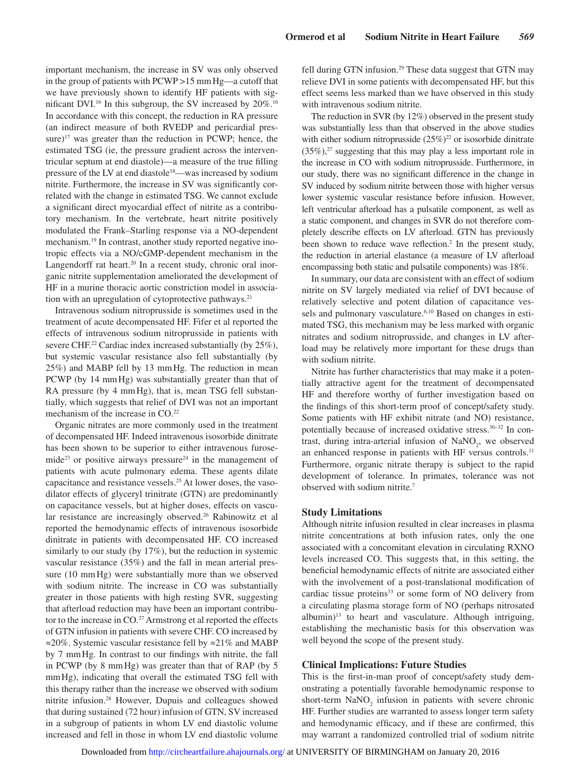important mechanism, the increase in SV was only observed in the group of patients with PCWP >15 mmHg—a cutoff that we have previously shown to identify HF patients with significant DVI.<sup>16</sup> In this subgroup, the SV increased by 20%.<sup>16</sup> In accordance with this concept, the reduction in RA pressure (an indirect measure of both RVEDP and pericardial pressure)<sup>17</sup> was greater than the reduction in PCWP; hence, the estimated TSG (ie, the pressure gradient across the interventricular septum at end diastole)—a measure of the true filling pressure of the LV at end diastole<sup>18</sup>—was increased by sodium nitrite. Furthermore, the increase in SV was significantly correlated with the change in estimated TSG. We cannot exclude a significant direct myocardial effect of nitrite as a contributory mechanism. In the vertebrate, heart nitrite positively modulated the Frank–Starling response via a NO-dependent mechanism.19 In contrast, another study reported negative inotropic effects via a NO/cGMP-dependent mechanism in the Langendorff rat heart. $20$  In a recent study, chronic oral inorganic nitrite supplementation ameliorated the development of HF in a murine thoracic aortic constriction model in association with an upregulation of cytoprotective pathways.<sup>21</sup>

Intravenous sodium nitroprusside is sometimes used in the treatment of acute decompensated HF. Fifer et al reported the effects of intravenous sodium nitroprusside in patients with severe CHF.<sup>22</sup> Cardiac index increased substantially (by 25%), but systemic vascular resistance also fell substantially (by 25%) and MABP fell by 13 mmHg. The reduction in mean PCWP (by 14 mmHg) was substantially greater than that of RA pressure (by 4 mm Hg), that is, mean TSG fell substantially, which suggests that relief of DVI was not an important mechanism of the increase in CO.<sup>22</sup>

Organic nitrates are more commonly used in the treatment of decompensated HF. Indeed intravenous isosorbide dinitrate has been shown to be superior to either intravenous furosemide<sup>23</sup> or positive airways pressure<sup>24</sup> in the management of patients with acute pulmonary edema. These agents dilate capacitance and resistance vessels.25 At lower doses, the vasodilator effects of glyceryl trinitrate (GTN) are predominantly on capacitance vessels, but at higher doses, effects on vascular resistance are increasingly observed.<sup>26</sup> Rabinowitz et al reported the hemodynamic effects of intravenous isosorbide dinitrate in patients with decompensated HF. CO increased similarly to our study (by 17%), but the reduction in systemic vascular resistance (35%) and the fall in mean arterial pressure (10 mmHg) were substantially more than we observed with sodium nitrite. The increase in CO was substantially greater in those patients with high resting SVR, suggesting that afterload reduction may have been an important contributor to the increase in CO.<sup>27</sup> Armstrong et al reported the effects of GTN infusion in patients with severe CHF. CO increased by ≈20%. Systemic vascular resistance fell by ≈21% and MABP by 7 mmHg. In contrast to our findings with nitrite, the fall in PCWP (by 8 mmHg) was greater than that of RAP (by 5 mmHg), indicating that overall the estimated TSG fell with this therapy rather than the increase we observed with sodium nitrite infusion.28 However, Dupuis and colleagues showed that during sustained (72 hour) infusion of GTN, SV increased in a subgroup of patients in whom LV end diastolic volume increased and fell in those in whom LV end diastolic volume fell during GTN infusion.<sup>29</sup> These data suggest that GTN may relieve DVI in some patients with decompensated HF, but this effect seems less marked than we have observed in this study with intravenous sodium nitrite.

The reduction in SVR (by 12%) observed in the present study was substantially less than that observed in the above studies with either sodium nitroprusside  $(25\%)^{22}$  or isosorbide dinitrate  $(35\%)$ ,<sup>27</sup> suggesting that this may play a less important role in the increase in CO with sodium nitroprusside. Furthermore, in our study, there was no significant difference in the change in SV induced by sodium nitrite between those with higher versus lower systemic vascular resistance before infusion. However, left ventricular afterload has a pulsatile component, as well as a static component, and changes in SVR do not therefore completely describe effects on LV afterload. GTN has previously been shown to reduce wave reflection.<sup>2</sup> In the present study, the reduction in arterial elastance (a measure of LV afterload encompassing both static and pulsatile components) was 18%.

In summary, our data are consistent with an effect of sodium nitrite on SV largely mediated via relief of DVI because of relatively selective and potent dilation of capacitance vessels and pulmonary vasculature.<sup>6,10</sup> Based on changes in estimated TSG, this mechanism may be less marked with organic nitrates and sodium nitroprusside, and changes in LV afterload may be relatively more important for these drugs than with sodium nitrite.

Nitrite has further characteristics that may make it a potentially attractive agent for the treatment of decompensated HF and therefore worthy of further investigation based on the findings of this short-term proof of concept/safety study. Some patients with HF exhibit nitrate (and NO) resistance, potentially because of increased oxidative stress.30–32 In contrast, during intra-arterial infusion of  $\text{NaNO}_2$ , we observed an enhanced response in patients with HF versus controls.<sup>11</sup> Furthermore, organic nitrate therapy is subject to the rapid development of tolerance. In primates, tolerance was not observed with sodium nitrite.7

#### **Study Limitations**

Although nitrite infusion resulted in clear increases in plasma nitrite concentrations at both infusion rates, only the one associated with a concomitant elevation in circulating RXNO levels increased CO. This suggests that, in this setting, the beneficial hemodynamic effects of nitrite are associated either with the involvement of a post-translational modification of cardiac tissue proteins<sup>33</sup> or some form of NO delivery from a circulating plasma storage form of NO (perhaps nitrosated albumin) $13$  to heart and vasculature. Although intriguing, establishing the mechanistic basis for this observation was well beyond the scope of the present study.

#### **Clinical Implications: Future Studies**

This is the first-in-man proof of concept/safety study demonstrating a potentially favorable hemodynamic response to short-term  $\text{NaNO}_2$  infusion in patients with severe chronic HF. Further studies are warranted to assess longer term safety and hemodynamic efficacy, and if these are confirmed, this may warrant a randomized controlled trial of sodium nitrite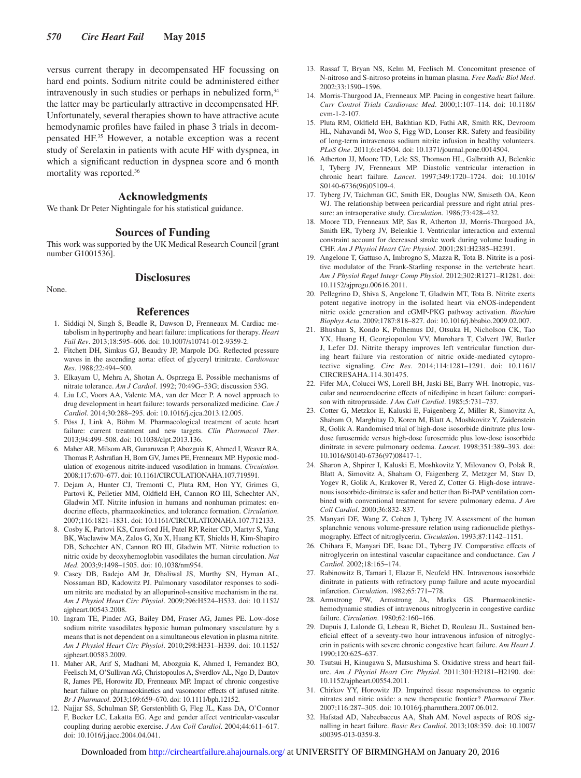versus current therapy in decompensated HF focussing on hard end points. Sodium nitrite could be administered either intravenously in such studies or perhaps in nebulized form,<sup>34</sup> the latter may be particularly attractive in decompensated HF. Unfortunately, several therapies shown to have attractive acute hemodynamic profiles have failed in phase 3 trials in decompensated HF.35 However, a notable exception was a recent study of Serelaxin in patients with acute HF with dyspnea, in which a significant reduction in dyspnea score and 6 month mortality was reported.36

#### **Acknowledgments**

We thank Dr Peter Nightingale for his statistical guidance.

#### **Sources of Funding**

This work was supported by the UK Medical Research Council [grant number G1001536].

#### **Disclosures**

None.

#### **References**

- 1. Siddiqi N, Singh S, Beadle R, Dawson D, Frenneaux M. Cardiac metabolism in hypertrophy and heart failure: implications for therapy. *Heart Fail Rev*. 2013;18:595–606. doi: 10.1007/s10741-012-9359-2.
- 2. Fitchett DH, Simkus GJ, Beaudry JP, Marpole DG. Reflected pressure waves in the ascending aorta: effect of glyceryl trinitrate. *Cardiovasc Res*. 1988;22:494–500.
- 3. Elkayam U, Mehra A, Shotan A, Osprzega E. Possible mechanisms of nitrate tolerance. *Am J Cardiol*. 1992; 70:49G–53G; discussion 53G.
- 4. Liu LC, Voors AA, Valente MA, van der Meer P. A novel approach to drug development in heart failure: towards personalized medicine. *Can J Cardiol*. 2014;30:288–295. doi: 10.1016/j.cjca.2013.12.005.
- 5. Pöss J, Link A, Böhm M. Pharmacological treatment of acute heart failure: current treatment and new targets. *Clin Pharmacol Ther*. 2013;94:499–508. doi: 10.1038/clpt.2013.136.
- 6. Maher AR, Milsom AB, Gunaruwan P, Abozguia K, Ahmed I, Weaver RA, Thomas P, Ashrafian H, Born GV, James PE, Frenneaux MP. Hypoxic modulation of exogenous nitrite-induced vasodilation in humans. *Circulation*. 2008;117:670–677. doi: 10.1161/CIRCULATIONAHA.107.719591.
- 7. Dejam A, Hunter CJ, Tremonti C, Pluta RM, Hon YY, Grimes G, Partovi K, Pelletier MM, Oldfield EH, Cannon RO III, Schechter AN, Gladwin MT. Nitrite infusion in humans and nonhuman primates: endocrine effects, pharmacokinetics, and tolerance formation. *Circulation*. 2007;116:1821–1831. doi: 10.1161/CIRCULATIONAHA.107.712133.
- 8. Cosby K, Partovi KS, Crawford JH, Patel RP, Reiter CD, Martyr S, Yang BK, Waclawiw MA, Zalos G, Xu X, Huang KT, Shields H, Kim-Shapiro DB, Schechter AN, Cannon RO III, Gladwin MT. Nitrite reduction to nitric oxide by deoxyhemoglobin vasodilates the human circulation. *Nat Med*. 2003;9:1498–1505. doi: 10.1038/nm954.
- 9. Casey DB, Badejo AM Jr, Dhaliwal JS, Murthy SN, Hyman AL, Nossaman BD, Kadowitz PJ. Pulmonary vasodilator responses to sodium nitrite are mediated by an allopurinol-sensitive mechanism in the rat. *Am J Physiol Heart Circ Physiol*. 2009;296:H524–H533. doi: 10.1152/ ajpheart.00543.2008.
- 10. Ingram TE, Pinder AG, Bailey DM, Fraser AG, James PE. Low-dose sodium nitrite vasodilates hypoxic human pulmonary vasculature by a means that is not dependent on a simultaneous elevation in plasma nitrite. *Am J Physiol Heart Circ Physiol*. 2010;298:H331–H339. doi: 10.1152/ ajpheart.00583.2009.
- 11. Maher AR, Arif S, Madhani M, Abozguia K, Ahmed I, Fernandez BO, Feelisch M, O'Sullivan AG, Christopoulos A, Sverdlov AL, Ngo D, Dautov R, James PE, Horowitz JD, Frenneaux MP. Impact of chronic congestive heart failure on pharmacokinetics and vasomotor effects of infused nitrite. *Br J Pharmacol*. 2013;169:659–670. doi: 10.1111/bph.12152.
- 12. Najjar SS, Schulman SP, Gerstenblith G, Fleg JL, Kass DA, O'Connor F, Becker LC, Lakatta EG. Age and gender affect ventricular-vascular coupling during aerobic exercise. *J Am Coll Cardiol*. 2004;44:611–617. doi: 10.1016/j.jacc.2004.04.041.
- 13. Rassaf T, Bryan NS, Kelm M, Feelisch M. Concomitant presence of N-nitroso and S-nitroso proteins in human plasma. *Free Radic Biol Med*. 2002;33:1590–1596.
- 14. Morris-Thurgood JA, Frenneaux MP. Pacing in congestive heart failure. *Curr Control Trials Cardiovasc Med*. 2000;1:107–114. doi: 10.1186/ cvm-1-2-107.
- 15. Pluta RM, Oldfield EH, Bakhtian KD, Fathi AR, Smith RK, Devroom HL, Nahavandi M, Woo S, Figg WD, Lonser RR. Safety and feasibility of long-term intravenous sodium nitrite infusion in healthy volunteers. *PLoS One*. 2011;6:e14504. doi: 10.1371/journal.pone.0014504.
- 16. Atherton JJ, Moore TD, Lele SS, Thomson HL, Galbraith AJ, Belenkie I, Tyberg JV, Frenneaux MP. Diastolic ventricular interaction in chronic heart failure. *Lancet*. 1997;349:1720–1724. doi: 10.1016/ S0140-6736(96)05109-4.
- 17. Tyberg JV, Taichman GC, Smith ER, Douglas NW, Smiseth OA, Keon WJ. The relationship between pericardial pressure and right atrial pressure: an intraoperative study. *Circulation*. 1986;73:428–432.
- 18. Moore TD, Frenneaux MP, Sas R, Atherton JJ, Morris-Thurgood JA, Smith ER, Tyberg JV, Belenkie I. Ventricular interaction and external constraint account for decreased stroke work during volume loading in CHF. *Am J Physiol Heart Circ Physiol*. 2001;281:H2385–H2391.
- 19. Angelone T, Gattuso A, Imbrogno S, Mazza R, Tota B. Nitrite is a positive modulator of the Frank-Starling response in the vertebrate heart. *Am J Physiol Regul Integr Comp Physiol*. 2012;302:R1271–R1281. doi: 10.1152/ajpregu.00616.2011.
- 20. Pellegrino D, Shiva S, Angelone T, Gladwin MT, Tota B. Nitrite exerts potent negative inotropy in the isolated heart via eNOS-independent nitric oxide generation and cGMP-PKG pathway activation. *Biochim Biophys Acta*. 2009;1787:818–827. doi: 10.1016/j.bbabio.2009.02.007.
- 21. Bhushan S, Kondo K, Polhemus DJ, Otsuka H, Nicholson CK, Tao YX, Huang H, Georgiopoulou VV, Murohara T, Calvert JW, Butler J, Lefer DJ. Nitrite therapy improves left ventricular function during heart failure via restoration of nitric oxide-mediated cytoprotective signaling. *Circ Res*. 2014;114:1281–1291. doi: 10.1161/ CIRCRESAHA.114.301475.
- 22. Fifer MA, Colucci WS, Lorell BH, Jaski BE, Barry WH. Inotropic, vascular and neuroendocrine effects of nifedipine in heart failure: comparison with nitroprusside. *J Am Coll Cardiol*. 1985;5:731–737.
- 23. Cotter G, Metzkor E, Kaluski E, Faigenberg Z, Miller R, Simovitz A, Shaham O, Marghitay D, Koren M, Blatt A, Moshkovitz Y, Zaidenstein R, Golik A. Randomised trial of high-dose isosorbide dinitrate plus lowdose furosemide versus high-dose furosemide plus low-dose isosorbide dinitrate in severe pulmonary oedema. *Lancet*. 1998;351:389–393. doi: 10.1016/S0140-6736(97)08417-1.
- 24. Sharon A, Shpirer I, Kaluski E, Moshkovitz Y, Milovanov O, Polak R, Blatt A, Simovitz A, Shaham O, Faigenberg Z, Metzger M, Stav D, Yogev R, Golik A, Krakover R, Vered Z, Cotter G. High-dose intravenous isosorbide-dinitrate is safer and better than Bi-PAP ventilation combined with conventional treatment for severe pulmonary edema. *J Am Coll Cardiol*. 2000;36:832–837.
- 25. Manyari DE, Wang Z, Cohen J, Tyberg JV. Assessment of the human splanchnic venous volume-pressure relation using radionuclide plethysmography. Effect of nitroglycerin. *Circulation*. 1993;87:1142–1151.
- 26. Chihara E, Manyari DE, Isaac DL, Tyberg JV. Comparative effects of nitroglycerin on intestinal vascular capacitance and conductance. *Can J Cardiol*. 2002;18:165–174.
- 27. Rabinowitz B, Tamari I, Elazar E, Neufeld HN. Intravenous isosorbide dinitrate in patients with refractory pump failure and acute myocardial infarction. *Circulation*. 1982;65:771–778.
- 28. Armstrong PW, Armstrong JA, Marks GS. Pharmacokinetichemodynamic studies of intravenous nitroglycerin in congestive cardiac failure. *Circulation*. 1980;62:160–166.
- 29. Dupuis J, Lalonde G, Lebeau R, Bichet D, Rouleau JL. Sustained beneficial effect of a seventy-two hour intravenous infusion of nitroglycerin in patients with severe chronic congestive heart failure. *Am Heart J*. 1990;120:625–637.
- 30. Tsutsui H, Kinugawa S, Matsushima S. Oxidative stress and heart failure. *Am J Physiol Heart Circ Physiol*. 2011;301:H2181–H2190. doi: 10.1152/ajpheart.00554.2011.
- 31. Chirkov YY, Horowitz JD. Impaired tissue responsiveness to organic nitrates and nitric oxide: a new therapeutic frontier? *Pharmacol Ther*. 2007;116:287–305. doi: 10.1016/j.pharmthera.2007.06.012.
- 32. Hafstad AD, Nabeebaccus AA, Shah AM. Novel aspects of ROS signalling in heart failure. *Basic Res Cardiol*. 2013;108:359. doi: 10.1007/ s00395-013-0359-8.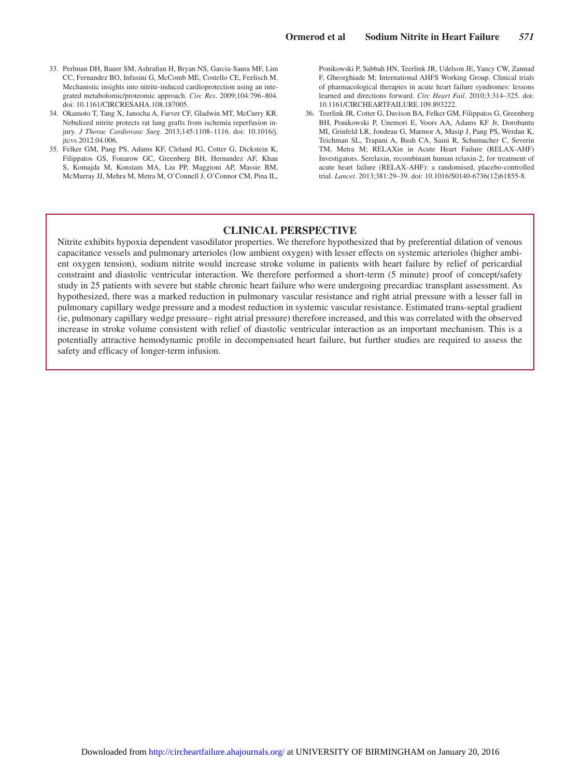- <span id="page-7-0"></span>33. Perlman DH, Bauer SM, Ashrafian H, Bryan NS, Garcia-Saura MF, Lim CC, Fernandez BO, Infusini G, McComb ME, Costello CE, Feelisch M. Mechanistic insights into nitrite-induced cardioprotection using an integrated metabolomic/proteomic approach. *Circ Res*. 2009;104:796–804. doi: 10.1161/CIRCRESAHA.108.187005.
- 34. Okamoto T, Tang X, Janocha A, Farver CF, Gladwin MT, McCurry KR. Nebulized nitrite protects rat lung grafts from ischemia reperfusion injury. *J Thorac Cardiovasc Surg*. 2013;145:1108–1116. doi: 10.1016/j. jtcvs.2012.04.006.
- 35. Felker GM, Pang PS, Adams KF, Cleland JG, Cotter G, Dickstein K, Filippatos GS, Fonarow GC, Greenberg BH, Hernandez AF, Khan S, Komajda M, Konstam MA, Liu PP, Maggioni AP, Massie BM, McMurray JJ, Mehra M, Metra M, O'Connell J, O'Connor CM, Pina IL,

Ponikowski P, Sabbah HN, Teerlink JR, Udelson JE, Yancy CW, Zannad F, Gheorghiade M; International AHFS Working Group. Clinical trials of pharmacological therapies in acute heart failure syndromes: lessons learned and directions forward. *Circ Heart Fail*. 2010;3:314–325. doi: 10.1161/CIRCHEARTFAILURE.109.893222.

36. Teerlink JR, Cotter G, Davison BA, Felker GM, Filippatos G, Greenberg BH, Ponikowski P, Unemori E, Voors AA, Adams KF Jr, Dorobantu MI, Grinfeld LR, Jondeau G, Marmor A, Masip J, Pang PS, Werdan K, Teichman SL, Trapani A, Bush CA, Saini R, Schumacher C, Severin TM, Metra M; RELAXin in Acute Heart Failure (RELAX-AHF) Investigators. Serelaxin, recombinant human relaxin-2, for treatment of acute heart failure (RELAX-AHF): a randomised, placebo-controlled trial. *Lancet*. 2013;381:29–39. doi: 10.1016/S0140-6736(12)61855-8.

#### **CLINICAL PERSPECTIVE**

Nitrite exhibits hypoxia dependent vasodilator properties. We therefore hypothesized that by preferential dilation of venous capacitance vessels and pulmonary arterioles (low ambient oxygen) with lesser effects on systemic arterioles (higher ambient oxygen tension), sodium nitrite would increase stroke volume in patients with heart failure by relief of pericardial constraint and diastolic ventricular interaction. We therefore performed a short-term (5 minute) proof of concept/safety study in 25 patients with severe but stable chronic heart failure who were undergoing precardiac transplant assessment. As hypothesized, there was a marked reduction in pulmonary vascular resistance and right atrial pressure with a lesser fall in pulmonary capillary wedge pressure and a modest reduction in systemic vascular resistance. Estimated trans-septal gradient (ie, pulmonary capillary wedge pressure– right atrial pressure) therefore increased, and this was correlated with the observed increase in stroke volume consistent with relief of diastolic ventricular interaction as an important mechanism. This is a potentially attractive hemodynamic profile in decompensated heart failure, but further studies are required to assess the safety and efficacy of longer-term infusion.